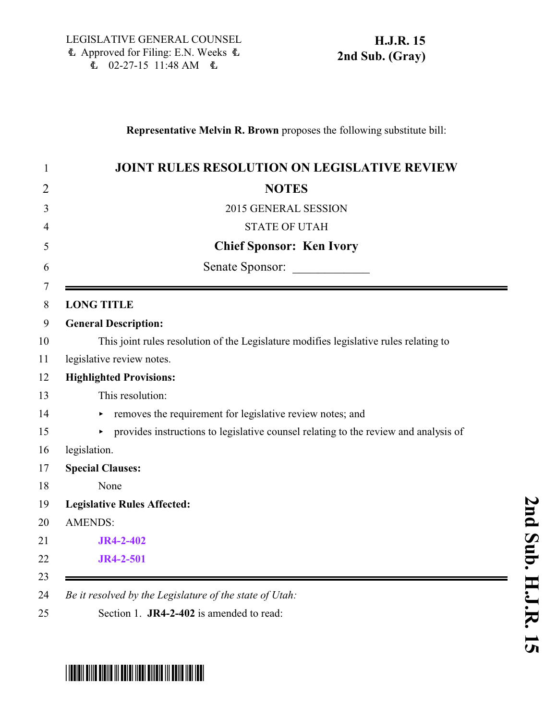```
H.J.R. 15
2nd Sub. (Gray)
```
## **Representative Melvin R. Brown** proposes the following substitute bill:

| <b>JOINT RULES RESOLUTION ON LEGISLATIVE REVIEW</b>                                   |
|---------------------------------------------------------------------------------------|
| <b>NOTES</b>                                                                          |
| 2015 GENERAL SESSION                                                                  |
| <b>STATE OF UTAH</b>                                                                  |
| <b>Chief Sponsor: Ken Ivory</b>                                                       |
| Senate Sponsor:                                                                       |
| <b>LONG TITLE</b>                                                                     |
| <b>General Description:</b>                                                           |
| This joint rules resolution of the Legislature modifies legislative rules relating to |
| legislative review notes.                                                             |
| <b>Highlighted Provisions:</b>                                                        |
| This resolution:                                                                      |
| removes the requirement for legislative review notes; and                             |
| • provides instructions to legislative counsel relating to the review and analysis of |
| legislation.                                                                          |
| <b>Special Clauses:</b>                                                               |
| None                                                                                  |
| <b>Legislative Rules Affected:</b>                                                    |
| <b>AMENDS:</b>                                                                        |
| <b>JR4-2-402</b>                                                                      |
| <b>JR4-2-501</b>                                                                      |

## <span id="page-0-0"></span>\*HJR015S02\*